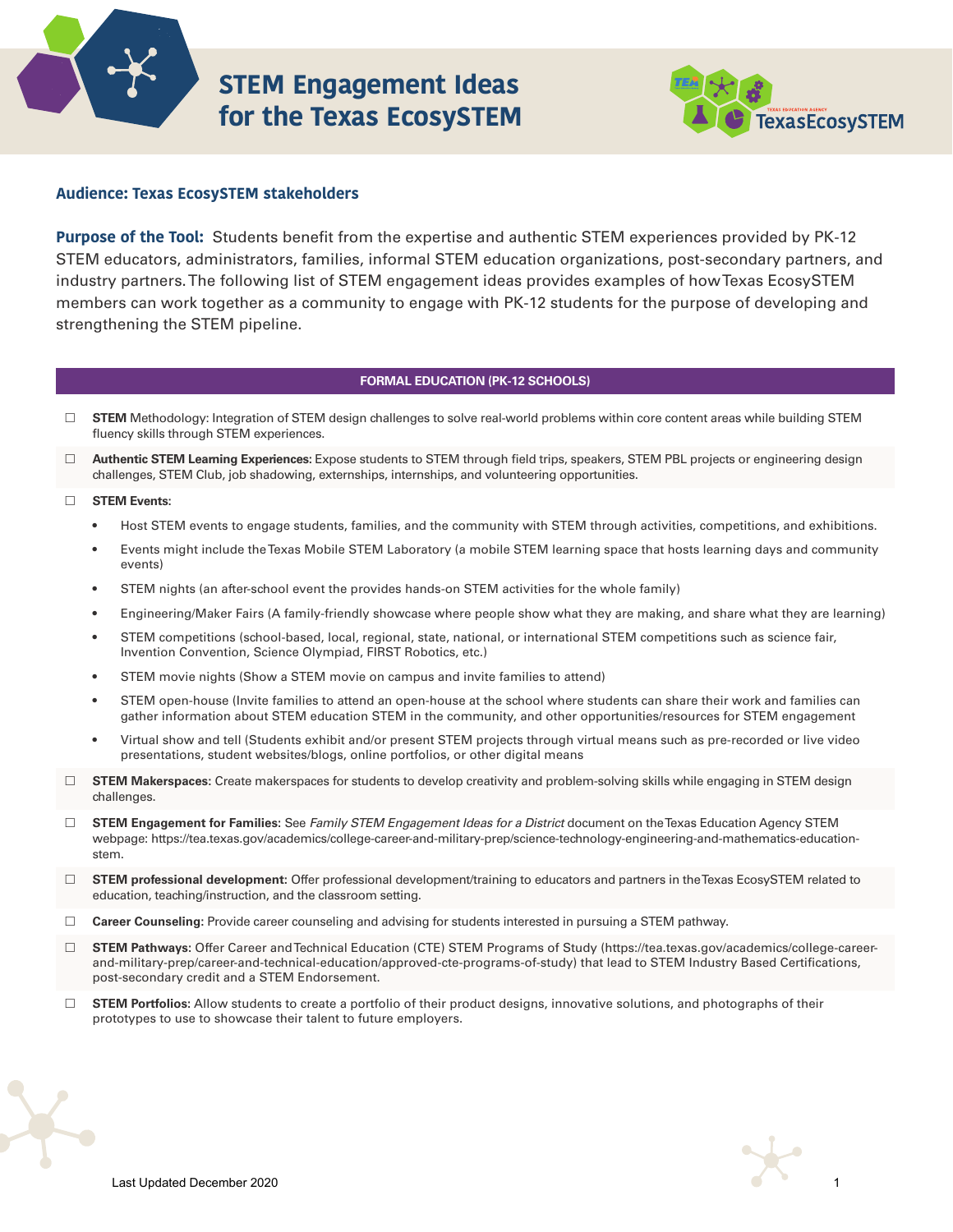

# **STEM Engagement Ideas for the Texas EcosySTEM**



# **Audience: Texas EcosySTEM stakeholders**

**Purpose of the Tool:** Students benefit from the expertise and authentic STEM experiences provided by PK-12 STEM educators, administrators, families, informal STEM education organizations, post-secondary partners, and industry partners. The following list of STEM engagement ideas provides examples of how Texas EcosySTEM members can work together as a community to engage with PK-12 students for the purpose of developing and strengthening the STEM pipeline.

## **FORMAL EDUCATION (PK-12 SCHOOLS)**

- $\Box$ **STEM** Methodology: Integration of STEM design challenges to solve real-world problems within core content areas while building STEM fluency skills through STEM experiences.
- $\Box$ **Authentic STEM Learning Experiences:** Expose students to STEM through field trips, speakers, STEM PBL projects or engineering design challenges, STEM Club, job shadowing, externships, internships, and volunteering opportunities.

#### $\Box$ **STEM Events:**

- Host STEM events to engage students, families, and the community with STEM through activities, competitions, and exhibitions.
- Events might include the Texas Mobile STEM Laboratory (a mobile STEM learning space that hosts learning days and community events)
- STEM nights (an after-school event the provides hands-on STEM activities for the whole family)
- Engineering/Maker Fairs (A family-friendly showcase where people show what they are making, and share what they are learning)
- STEM competitions (school-based, local, regional, state, national, or international STEM competitions such as science fair, Invention Convention, Science Olympiad, FIRST Robotics, etc.)
- STEM movie nights (Show a STEM movie on campus and invite families to attend)
- STEM open-house (Invite families to attend an open-house at the school where students can share their work and families can gather information about STEM education STEM in the community, and other opportunities/resources for STEM engagement
- Virtual show and tell (Students exhibit and/or present STEM projects through virtual means such as pre-recorded or live video presentations, student websites/blogs, online portfolios, or other digital means
- □ STEM Makerspaces: Create makerspaces for students to develop creativity and problem-solving skills while engaging in STEM design challenges.
- **STEM Engagement for Families:** See *Family STEM Engagement Ideas for a District* document on the Texas Education Agency STEM [webpage: https://tea.texas.gov/academics/college-career-and-military-prep/science-technology-engineering-and-mathematics-education](https://tea.texas.gov/academics/college-career-and-military-prep/science-technology-engineering-and-mathematics-education-stem)stem.
- $\Box$ **STEM professional development:** Offer professional development/training to educators and partners in the Texas EcosySTEM related to education, teaching/instruction, and the classroom setting.
- **Career Counseling:** Provide career counseling and advising for students interested in pursuing a STEM pathway.
- $\Box$ **STEM Pathways:** Offer Career and Technical Education (CTE) STEM Programs of Study (https://tea.texas.gov/academics/college-career[and-military-prep/career-and-technical-education/approved-cte-programs-of-study\) that lead to STEM Industry Based Certifications,](https://tea.texas.gov/academics/college-career-and-military-prep/career-and-technical-education/approved-cte-programs-of-study)  post-secondary credit and a STEM Endorsement.
- $\Box$ **STEM Portfolios:** Allow students to create a portfolio of their product designs, innovative solutions, and photographs of their prototypes to use to showcase their talent to future employers.

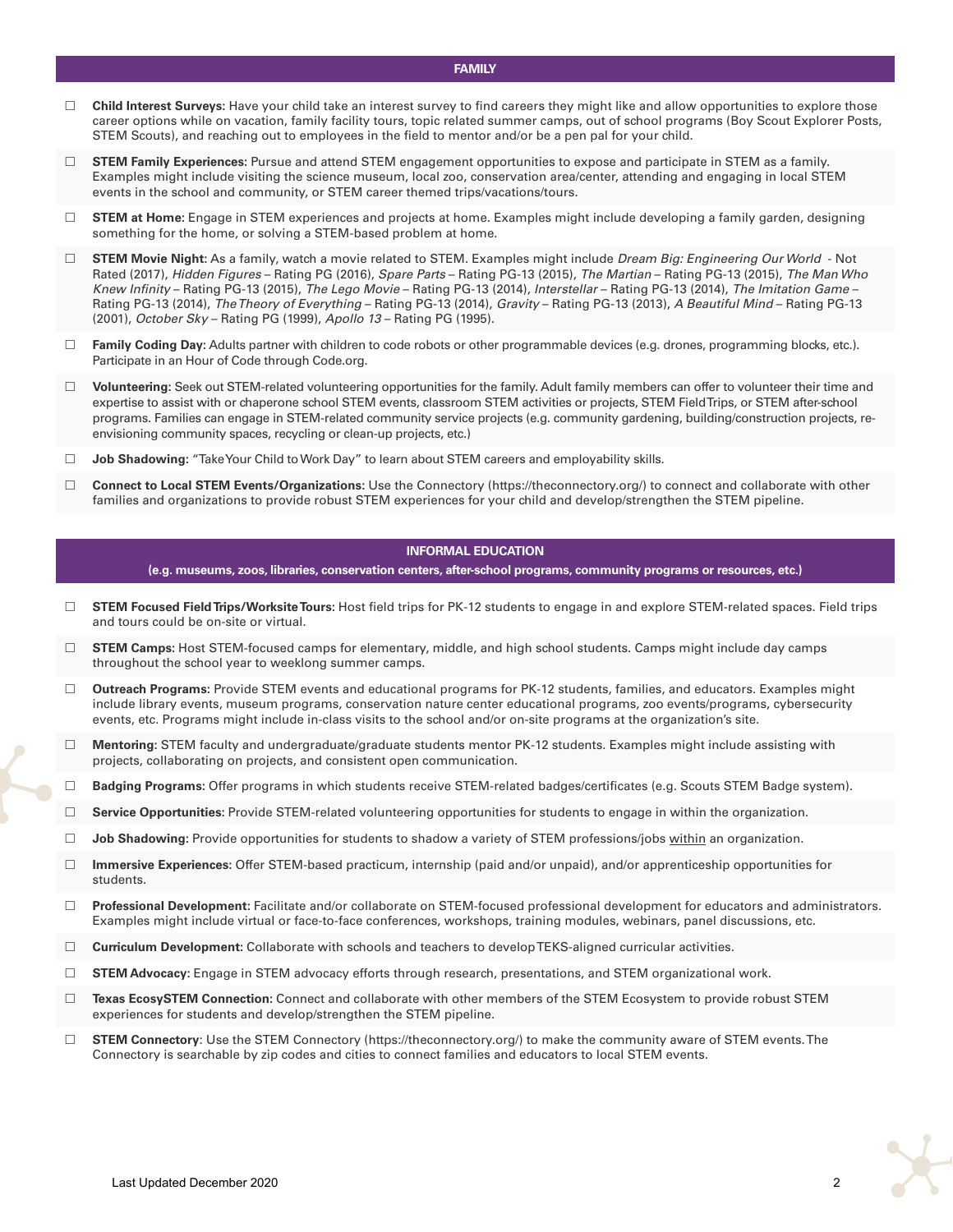- □ Child Interest Surveys: Have your child take an interest survey to find careers they might like and allow opportunities to explore those career options while on vacation, family facility tours, topic related summer camps, out of school programs (Boy Scout Explorer Posts, STEM Scouts), and reaching out to employees in the field to mentor and/or be a pen pal for your child.
- $\Box$ **STEM Family Experiences:** Pursue and attend STEM engagement opportunities to expose and participate in STEM as a family. Examples might include visiting the science museum, local zoo, conservation area/center, attending and engaging in local STEM events in the school and community, or STEM career themed trips/vacations/tours.
- □ STEM at Home: Engage in STEM experiences and projects at home. Examples might include developing a family garden, designing something for the home, or solving a STEM-based problem at home.
- **STEM Movie Night:** As a family, watch a movie related to STEM. Examples might include *Dream Big: Engineering Our World* - Not Rated (2017), *Hidden Figures* – Rating PG (2016), *Spare Parts* – Rating PG-13 (2015), *The Martian* – Rating PG-13 (2015), *The Man Who Knew Infinity* – Rating PG-13 (2015), *The Lego Movie* – Rating PG-13 (2014), *Interstellar* – Rating PG-13 (2014), *The Imitation Game* – Rating PG-13 (2014), *The Theory of Everything* – Rating PG-13 (2014), *Gravity* – Rating PG-13 (2013), *A Beautiful Mind* – Rating PG-13 (2001), *October Sky* – Rating PG (1999), *Apollo 13* – Rating PG (1995).
- □ Family Coding Day: Adults partner with children to code robots or other programmable devices (e.g. drones, programming blocks, etc.). Participate in an Hour of Code through Code.org.
- $\Box$ **Volunteering:** Seek out STEM-related volunteering opportunities for the family. Adult family members can offer to volunteer their time and expertise to assist with or chaperone school STEM events, classroom STEM activities or projects, STEM Field Trips, or STEM after-school programs. Families can engage in STEM-related community service projects (e.g. community gardening, building/construction projects, reenvisioning community spaces, recycling or clean-up projects, etc.)
- $\Box$ Job Shadowing: "Take Your Child to Work Day" to learn about STEM careers and employability skills.
- $\Box$ **Connect to Local STEM Events/Organizations:** Use the Connectory [\(https://theconnectory.org/\)](https://theconnectory.org/) to connect and collaborate with other families and organizations to provide robust STEM experiences for your child and develop/strengthen the STEM pipeline.

#### **INFORMAL EDUCATION**

**(e.g. museums, zoos, libraries, conservation centers, after-school programs, community programs or resources, etc.)** 

- $\Box$ **STEM Focused Field Trips/Worksite Tours:** Host field trips for PK-12 students to engage in and explore STEM-related spaces. Field trips and tours could be on-site or virtual.
- $\Box$ **STEM Camps:** Host STEM-focused camps for elementary, middle, and high school students. Camps might include day camps throughout the school year to weeklong summer camps.
- $\Box$ **Outreach Programs:** Provide STEM events and educational programs for PK-12 students, families, and educators. Examples might include library events, museum programs, conservation nature center educational programs, zoo events/programs, cybersecurity events, etc. Programs might include in-class visits to the school and/or on-site programs at the organization's site.
- $\Box$ **Mentoring:** STEM faculty and undergraduate/graduate students mentor PK-12 students. Examples might include assisting with projects, collaborating on projects, and consistent open communication.
- $\Box$ **Badging Programs:** Offer programs in which students receive STEM-related badges/certificates (e.g. Scouts STEM Badge system).
- $\Box$ **Service Opportunities:** Provide STEM-related volunteering opportunities for students to engage in within the organization.
- $\Box$ **Job Shadowing:** Provide opportunities for students to shadow a variety of STEM professions/jobs within an organization.
- $\Box$ **Immersive Experiences:** Offer STEM-based practicum, internship (paid and/or unpaid), and/or apprenticeship opportunities for students.
- **Professional Development:** Facilitate and/or collaborate on STEM-focused professional development for educators and administrators. Examples might include virtual or face-to-face conferences, workshops, training modules, webinars, panel discussions, etc.
- **Curriculum Development:** Collaborate with schools and teachers to develop TEKS-aligned curricular activities.
- $\Box$ **STEM Advocacy:** Engage in STEM advocacy efforts through research, presentations, and STEM organizational work.
- $\Box$ **Texas EcosySTEM Connection:** Connect and collaborate with other members of the STEM Ecosystem to provide robust STEM experiences for students and develop/strengthen the STEM pipeline.
- **STEM Connectory**: Use the STEM Connectory ([https://theconnectory.org/\)](https://theconnectory.org/) to make the community aware of STEM events. The Connectory is searchable by zip codes and cities to connect families and educators to local STEM events.

### **FAMILY**